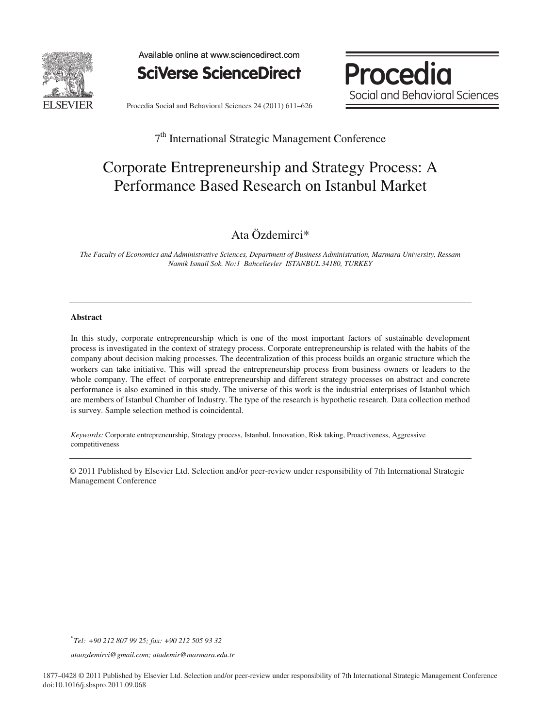

Available online at www.sciencedirect.com





Procedia Social and Behavioral Sciences 24 (2011) 611–626

# 7th International Strategic Management Conference

# Corporate Entrepreneurship and Strategy Process: A Performance Based Research on Istanbul Market

# Ata Özdemirci\*

*The Faculty of Economics and Administrative Sciences, Department of Business Administration, Marmara University, Ressam Namik Ismail Sok. No:1 Bahcelievler ISTANBUL 34180, TURKEY* 

## **Abstract**

In this study, corporate entrepreneurship which is one of the most important factors of sustainable development process is investigated in the context of strategy process. Corporate entrepreneurship is related with the habits of the company about decision making processes. The decentralization of this process builds an organic structure which the workers can take initiative. This will spread the entrepreneurship process from business owners or leaders to the whole company. The effect of corporate entrepreneurship and different strategy processes on abstract and concrete performance is also examined in this study. The universe of this work is the industrial enterprises of Istanbul which are members of Istanbul Chamber of Industry. The type of the research is hypothetic research. Data collection method is survey. Sample selection method is coincidental.

*Keywords:* Corporate entrepreneurship, Strategy process, Istanbul, Innovation, Risk taking, Proactiveness, Aggressive competitiveness

© 2011 Published by Elsevier Ltd. Selection and/or peer-review under responsibility 7th International © 2011 Published by Elsevier Ltd. Selection and/or peer-review under responsibility of 7th International Strategic Management Conference

<sup>∗</sup> *Tel: +90 212 807 99 25; fax: +90 212 505 93 32* 

*ataozdemirci@gmail.com; atademir@marmara.edu.tr*

<sup>1877–0428 © 2011</sup> Published by Elsevier Ltd. Selection and/or peer-review under responsibility of 7th International Strategic Management Conference doi:10.1016/j.sbspro.2011.09.068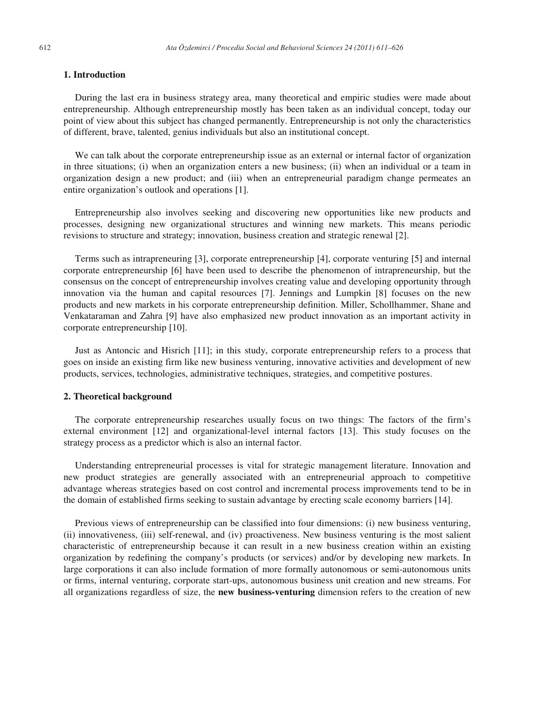### **1. Introduction**

During the last era in business strategy area, many theoretical and empiric studies were made about entrepreneurship. Although entrepreneurship mostly has been taken as an individual concept, today our point of view about this subject has changed permanently. Entrepreneurship is not only the characteristics of different, brave, talented, genius individuals but also an institutional concept.

We can talk about the corporate entrepreneurship issue as an external or internal factor of organization in three situations; (i) when an organization enters a new business; (ii) when an individual or a team in organization design a new product; and (iii) when an entrepreneurial paradigm change permeates an entire organization's outlook and operations [1].

Entrepreneurship also involves seeking and discovering new opportunities like new products and processes, designing new organizational structures and winning new markets. This means periodic revisions to structure and strategy; innovation, business creation and strategic renewal [2].

Terms such as intrapreneuring [3], corporate entrepreneurship [4], corporate venturing [5] and internal corporate entrepreneurship [6] have been used to describe the phenomenon of intrapreneurship, but the consensus on the concept of entrepreneurship involves creating value and developing opportunity through innovation via the human and capital resources [7]. Jennings and Lumpkin [8] focuses on the new products and new markets in his corporate entrepreneurship definition. Miller, Schollhammer, Shane and Venkataraman and Zahra [9] have also emphasized new product innovation as an important activity in corporate entrepreneurship [10].

Just as Antoncic and Hisrich [11]; in this study, corporate entrepreneurship refers to a process that goes on inside an existing firm like new business venturing, innovative activities and development of new products, services, technologies, administrative techniques, strategies, and competitive postures.

#### **2. Theoretical background**

The corporate entrepreneurship researches usually focus on two things: The factors of the firm's external environment [12] and organizational-level internal factors [13]. This study focuses on the strategy process as a predictor which is also an internal factor.

Understanding entrepreneurial processes is vital for strategic management literature. Innovation and new product strategies are generally associated with an entrepreneurial approach to competitive advantage whereas strategies based on cost control and incremental process improvements tend to be in the domain of established firms seeking to sustain advantage by erecting scale economy barriers [14].

Previous views of entrepreneurship can be classified into four dimensions: (i) new business venturing, (ii) innovativeness, (iii) self-renewal, and (iv) proactiveness. New business venturing is the most salient characteristic of entrepreneurship because it can result in a new business creation within an existing organization by redefining the company's products (or services) and/or by developing new markets. In large corporations it can also include formation of more formally autonomous or semi-autonomous units or firms, internal venturing, corporate start-ups, autonomous business unit creation and new streams. For all organizations regardless of size, the **new business-venturing** dimension refers to the creation of new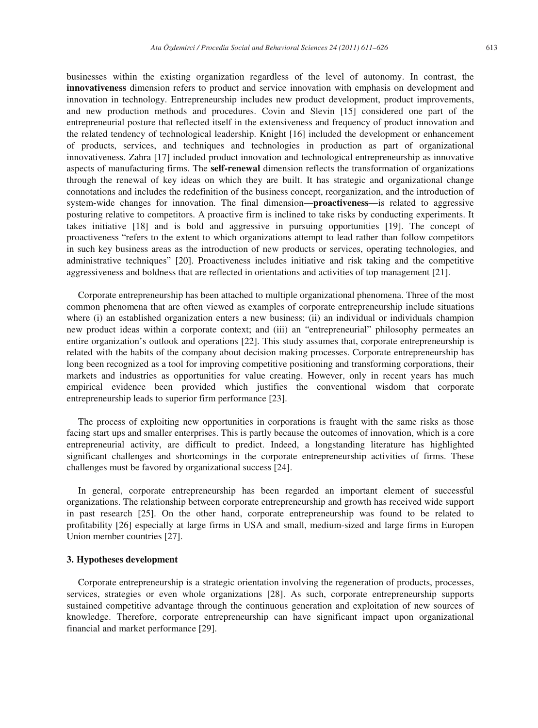businesses within the existing organization regardless of the level of autonomy. In contrast, the **innovativeness** dimension refers to product and service innovation with emphasis on development and innovation in technology. Entrepreneurship includes new product development, product improvements, and new production methods and procedures. Covin and Slevin [15] considered one part of the entrepreneurial posture that reflected itself in the extensiveness and frequency of product innovation and the related tendency of technological leadership. Knight [16] included the development or enhancement of products, services, and techniques and technologies in production as part of organizational innovativeness. Zahra [17] included product innovation and technological entrepreneurship as innovative aspects of manufacturing firms. The **self-renewal** dimension reflects the transformation of organizations through the renewal of key ideas on which they are built. It has strategic and organizational change connotations and includes the redefinition of the business concept, reorganization, and the introduction of system-wide changes for innovation. The final dimension—**proactiveness**—is related to aggressive posturing relative to competitors. A proactive firm is inclined to take risks by conducting experiments. It takes initiative [18] and is bold and aggressive in pursuing opportunities [19]. The concept of proactiveness "refers to the extent to which organizations attempt to lead rather than follow competitors in such key business areas as the introduction of new products or services, operating technologies, and administrative techniques" [20]. Proactiveness includes initiative and risk taking and the competitive aggressiveness and boldness that are reflected in orientations and activities of top management [21].

Corporate entrepreneurship has been attached to multiple organizational phenomena. Three of the most common phenomena that are often viewed as examples of corporate entrepreneurship include situations where (i) an established organization enters a new business; (ii) an individual or individuals champion new product ideas within a corporate context; and (iii) an "entrepreneurial" philosophy permeates an entire organization's outlook and operations [22]. This study assumes that, corporate entrepreneurship is related with the habits of the company about decision making processes. Corporate entrepreneurship has long been recognized as a tool for improving competitive positioning and transforming corporations, their markets and industries as opportunities for value creating. However, only in recent years has much empirical evidence been provided which justifies the conventional wisdom that corporate entrepreneurship leads to superior firm performance [23].

The process of exploiting new opportunities in corporations is fraught with the same risks as those facing start ups and smaller enterprises. This is partly because the outcomes of innovation, which is a core entrepreneurial activity, are difficult to predict. Indeed, a longstanding literature has highlighted significant challenges and shortcomings in the corporate entrepreneurship activities of firms. These challenges must be favored by organizational success [24].

In general, corporate entrepreneurship has been regarded an important element of successful organizations. The relationship between corporate entrepreneurship and growth has received wide support in past research [25]. On the other hand, corporate entrepreneurship was found to be related to profitability [26] especially at large firms in USA and small, medium-sized and large firms in Europen Union member countries [27].

#### **3. Hypotheses development**

Corporate entrepreneurship is a strategic orientation involving the regeneration of products, processes, services, strategies or even whole organizations [28]. As such, corporate entrepreneurship supports sustained competitive advantage through the continuous generation and exploitation of new sources of knowledge. Therefore, corporate entrepreneurship can have significant impact upon organizational financial and market performance [29].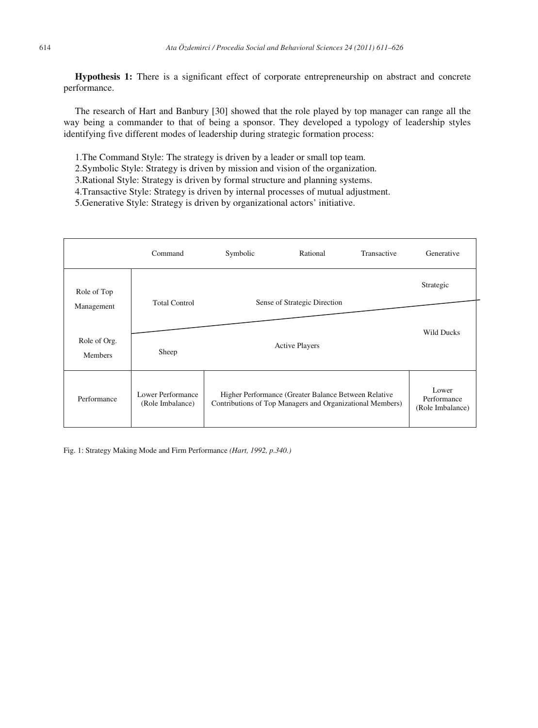**Hypothesis 1:** There is a significant effect of corporate entrepreneurship on abstract and concrete performance.

The research of Hart and Banbury [30] showed that the role played by top manager can range all the way being a commander to that of being a sponsor. They developed a typology of leadership styles identifying five different modes of leadership during strategic formation process:

- 1.The Command Style: The strategy is driven by a leader or small top team.
- 2.Symbolic Style: Strategy is driven by mission and vision of the organization.
- 3.Rational Style: Strategy is driven by formal structure and planning systems.
- 4.Transactive Style: Strategy is driven by internal processes of mutual adjustment.
- 5.Generative Style: Strategy is driven by organizational actors' initiative.

|                         | Command                               | Symbolic                     | Rational                                                                                                          | Transactive | Generative                               |
|-------------------------|---------------------------------------|------------------------------|-------------------------------------------------------------------------------------------------------------------|-------------|------------------------------------------|
| Role of Top             |                                       |                              |                                                                                                                   |             | Strategic                                |
| Management              | <b>Total Control</b>                  | Sense of Strategic Direction |                                                                                                                   |             |                                          |
| Role of Org.<br>Members | Sheep                                 | <b>Active Players</b>        | <b>Wild Ducks</b>                                                                                                 |             |                                          |
| Performance             | Lower Performance<br>(Role Imbalance) |                              | Higher Performance (Greater Balance Between Relative<br>Contributions of Top Managers and Organizational Members) |             | Lower<br>Performance<br>(Role Imbalance) |

Fig. 1: Strategy Making Mode and Firm Performance *(Hart, 1992, p.340.)*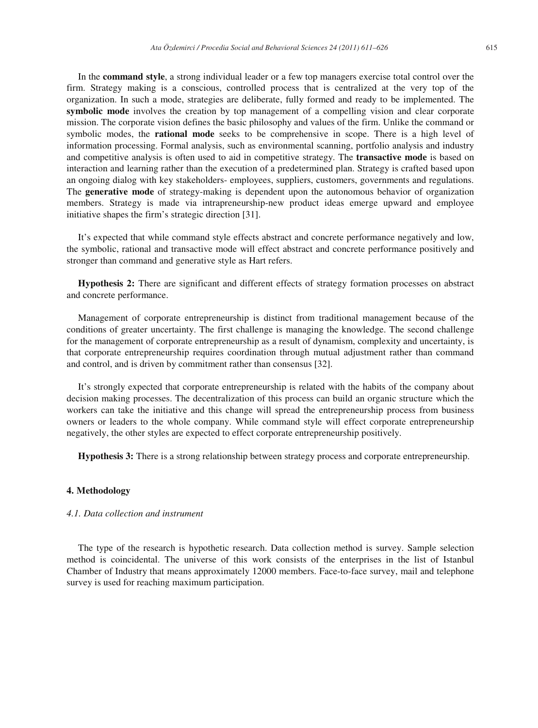In the **command style**, a strong individual leader or a few top managers exercise total control over the firm. Strategy making is a conscious, controlled process that is centralized at the very top of the organization. In such a mode, strategies are deliberate, fully formed and ready to be implemented. The **symbolic mode** involves the creation by top management of a compelling vision and clear corporate mission. The corporate vision defines the basic philosophy and values of the firm. Unlike the command or symbolic modes, the **rational mode** seeks to be comprehensive in scope. There is a high level of information processing. Formal analysis, such as environmental scanning, portfolio analysis and industry and competitive analysis is often used to aid in competitive strategy. The **transactive mode** is based on interaction and learning rather than the execution of a predetermined plan. Strategy is crafted based upon an ongoing dialog with key stakeholders- employees, suppliers, customers, governments and regulations. The **generative mode** of strategy-making is dependent upon the autonomous behavior of organization members. Strategy is made via intrapreneurship-new product ideas emerge upward and employee initiative shapes the firm's strategic direction [31].

It's expected that while command style effects abstract and concrete performance negatively and low, the symbolic, rational and transactive mode will effect abstract and concrete performance positively and stronger than command and generative style as Hart refers.

**Hypothesis 2:** There are significant and different effects of strategy formation processes on abstract and concrete performance.

Management of corporate entrepreneurship is distinct from traditional management because of the conditions of greater uncertainty. The first challenge is managing the knowledge. The second challenge for the management of corporate entrepreneurship as a result of dynamism, complexity and uncertainty, is that corporate entrepreneurship requires coordination through mutual adjustment rather than command and control, and is driven by commitment rather than consensus [32].

It's strongly expected that corporate entrepreneurship is related with the habits of the company about decision making processes. The decentralization of this process can build an organic structure which the workers can take the initiative and this change will spread the entrepreneurship process from business owners or leaders to the whole company. While command style will effect corporate entrepreneurship negatively, the other styles are expected to effect corporate entrepreneurship positively.

**Hypothesis 3:** There is a strong relationship between strategy process and corporate entrepreneurship.

#### **4. Methodology**

#### *4.1. Data collection and instrument*

The type of the research is hypothetic research. Data collection method is survey. Sample selection method is coincidental. The universe of this work consists of the enterprises in the list of Istanbul Chamber of Industry that means approximately 12000 members. Face-to-face survey, mail and telephone survey is used for reaching maximum participation.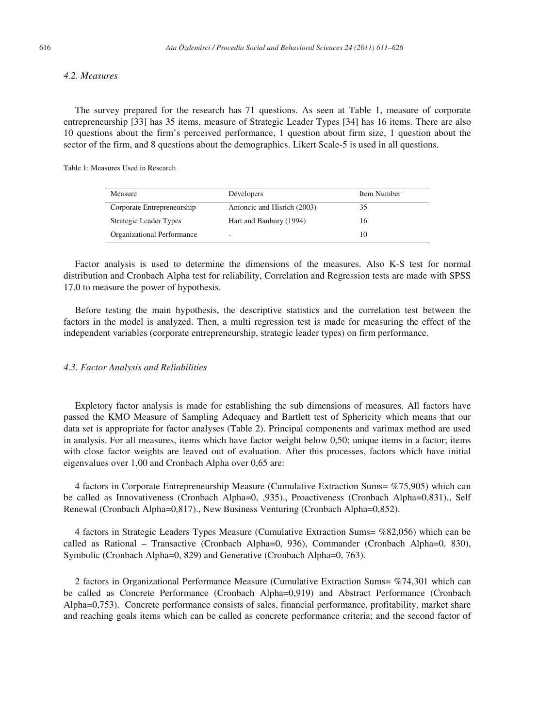## *4.2. Measures*

The survey prepared for the research has 71 questions. As seen at Table 1, measure of corporate entrepreneurship [33] has 35 items, measure of Strategic Leader Types [34] has 16 items. There are also 10 questions about the firm's perceived performance, 1 question about firm size, 1 question about the sector of the firm, and 8 questions about the demographics. Likert Scale-5 is used in all questions.

Table 1: Measures Used in Research

| Measure                    | <b>Developers</b>           | Item Number |
|----------------------------|-----------------------------|-------------|
| Corporate Entrepreneurship | Antoncic and Hisrich (2003) | 35          |
| Strategic Leader Types     | Hart and Banbury (1994)     | 16          |
| Organizational Performance |                             | 10          |

Factor analysis is used to determine the dimensions of the measures. Also K-S test for normal distribution and Cronbach Alpha test for reliability, Correlation and Regression tests are made with SPSS 17.0 to measure the power of hypothesis.

Before testing the main hypothesis, the descriptive statistics and the correlation test between the factors in the model is analyzed. Then, a multi regression test is made for measuring the effect of the independent variables (corporate entrepreneurship, strategic leader types) on firm performance.

#### *4.3. Factor Analysis and Reliabilities*

Expletory factor analysis is made for establishing the sub dimensions of measures. All factors have passed the KMO Measure of Sampling Adequacy and Bartlett test of Sphericity which means that our data set is appropriate for factor analyses (Table 2). Principal components and varimax method are used in analysis. For all measures, items which have factor weight below 0,50; unique items in a factor; items with close factor weights are leaved out of evaluation. After this processes, factors which have initial eigenvalues over 1,00 and Cronbach Alpha over 0,65 are:

4 factors in Corporate Entrepreneurship Measure (Cumulative Extraction Sums= %75,905) which can be called as Innovativeness (Cronbach Alpha=0, ,935)., Proactiveness (Cronbach Alpha=0,831)., Self Renewal (Cronbach Alpha=0,817)., New Business Venturing (Cronbach Alpha=0,852).

4 factors in Strategic Leaders Types Measure (Cumulative Extraction Sums= %82,056) which can be called as Rational – Transactive (Cronbach Alpha=0, 936), Commander (Cronbach Alpha=0, 830), Symbolic (Cronbach Alpha=0, 829) and Generative (Cronbach Alpha=0, 763).

2 factors in Organizational Performance Measure (Cumulative Extraction Sums= %74,301 which can be called as Concrete Performance (Cronbach Alpha=0,919) and Abstract Performance (Cronbach Alpha=0,753). Concrete performance consists of sales, financial performance, profitability, market share and reaching goals items which can be called as concrete performance criteria; and the second factor of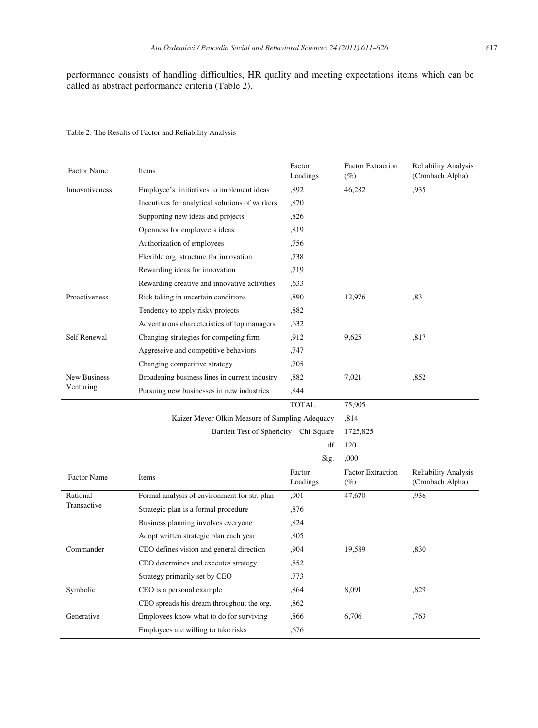performance consists of handling difficulties, HR quality and meeting expectations items which can be called as abstract performance criteria (Table 2).

| <b>Factor Name</b> | Items                                           | Factor<br>Loadings | <b>Factor Extraction</b><br>$(\%)$ | Reliability Analysis<br>(Cronbach Alpha)        |
|--------------------|-------------------------------------------------|--------------------|------------------------------------|-------------------------------------------------|
| Innovativeness     | Employee's initiatives to implement ideas       | ,892               | 46,282                             | ,935                                            |
|                    | Incentives for analytical solutions of workers  | ,870               |                                    |                                                 |
|                    | Supporting new ideas and projects               | ,826               |                                    |                                                 |
|                    | Openness for employee's ideas                   | ,819               |                                    |                                                 |
|                    | Authorization of employees                      | ,756               |                                    |                                                 |
|                    | Flexible org. structure for innovation          | .738               |                                    |                                                 |
|                    | Rewarding ideas for innovation                  | ,719               |                                    |                                                 |
|                    | Rewarding creative and innovative activities    | .633               |                                    |                                                 |
| Proactiveness      | Risk taking in uncertain conditions             | ,890               | 12,976                             | ,831                                            |
|                    | Tendency to apply risky projects                | .882               |                                    |                                                 |
|                    | Adventurous characteristics of top managers     | .632               |                                    |                                                 |
| Self Renewal       | Changing strategies for competing firm          | .912               | 9,625                              | .817                                            |
|                    | Aggressive and competitive behaviors            | ,747               |                                    |                                                 |
|                    | Changing competitive strategy                   | ,705               |                                    |                                                 |
| New Business       | Broadening business lines in current industry   | ,882               | 7,021                              | ,852                                            |
| Venturing          | Pursuing new businesses in new industries       | ,844               |                                    |                                                 |
|                    |                                                 | <b>TOTAL</b>       | 75,905                             |                                                 |
|                    | Kaizer Meyer Olkin Measure of Sampling Adequacy |                    | ,814                               |                                                 |
|                    | Bartlett Test of Sphericity Chi-Square          |                    | 1725,825                           |                                                 |
|                    |                                                 | df                 | 120                                |                                                 |
|                    |                                                 | Sig.               | ,000                               |                                                 |
| <b>Factor Name</b> | Items                                           | Factor<br>Loadings | <b>Factor Extraction</b><br>(%)    | <b>Reliability Analysis</b><br>(Cronbach Alpha) |
| Rational -         | Formal analysis of environment for str. plan    | ,901               | 47,670                             | ,936                                            |
| Transactive        | Strategic plan is a formal procedure            | ,876               |                                    |                                                 |
|                    | Business planning involves everyone             | .824               |                                    |                                                 |
|                    | Adopt written strategic plan each year          | .805               |                                    |                                                 |
| Commander          | CEO defines vision and general direction        | .904               | 19,589                             | ,830                                            |
|                    | CEO determines and executes strategy            | ,852               |                                    |                                                 |
|                    | Strategy primarily set by CEO                   | ,773               |                                    |                                                 |
| Symbolic           | CEO is a personal example                       | ,864               | 8,091                              | ,829                                            |
|                    | CEO spreads his dream throughout the org.       | ,862               |                                    |                                                 |
| Generative         | Employees know what to do for surviving         | ,866               | 6,706                              | ,763                                            |
|                    | Employees are willing to take risks             | ,676               |                                    |                                                 |

Table 2: The Results of Factor and Reliability Analysis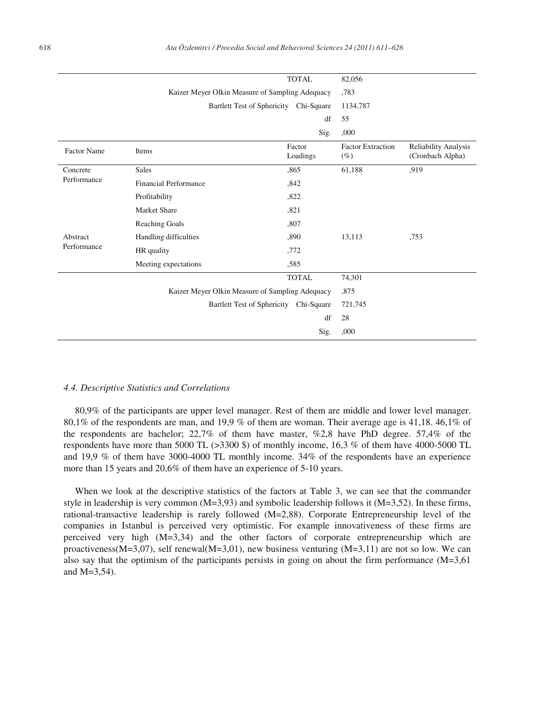|                    |                                                 | <b>TOTAL</b>                                    | 82,056                             |                                          |
|--------------------|-------------------------------------------------|-------------------------------------------------|------------------------------------|------------------------------------------|
|                    |                                                 | Kaizer Meyer Olkin Measure of Sampling Adequacy | .783                               |                                          |
|                    |                                                 | Bartlett Test of Sphericity Chi-Square          | 1134,787                           |                                          |
|                    |                                                 | df                                              | 55                                 |                                          |
|                    |                                                 | Sig.                                            | ,000                               |                                          |
| <b>Factor Name</b> | Items                                           | Factor<br>Loadings                              | <b>Factor Extraction</b><br>$(\%)$ | Reliability Analysis<br>(Cronbach Alpha) |
| Concrete           | <b>Sales</b>                                    | ,865                                            | 61,188                             | .919                                     |
| Performance        | <b>Financial Performance</b>                    | ,842                                            |                                    |                                          |
|                    | Profitability                                   | ,822                                            |                                    |                                          |
|                    | <b>Market Share</b>                             | ,821                                            |                                    |                                          |
|                    | <b>Reaching Goals</b>                           | ,807                                            |                                    |                                          |
| Abstract           | Handling difficulties                           | ,890                                            | 13,113                             | ,753                                     |
| Performance        | HR quality                                      | .772                                            |                                    |                                          |
|                    | Meeting expectations                            | ,585                                            |                                    |                                          |
|                    |                                                 | <b>TOTAL</b>                                    | 74,301                             |                                          |
|                    | Kaizer Meyer Olkin Measure of Sampling Adequacy | ,875                                            |                                    |                                          |
|                    |                                                 | Bartlett Test of Sphericity Chi-Square          | 721,745                            |                                          |
|                    |                                                 | df                                              | 28                                 |                                          |
|                    |                                                 | Sig.                                            | ,000                               |                                          |

#### *4.4. Descriptive Statistics and Correlations*

80,9% of the participants are upper level manager. Rest of them are middle and lower level manager. 80,1% of the respondents are man, and 19,9 % of them are woman. Their average age is 41,18. 46,1% of the respondents are bachelor; 22,7% of them have master, %2,8 have PhD degree. 57,4% of the respondents have more than 5000 TL (>3300 \$) of monthly income, 16,3 % of them have 4000-5000 TL and 19,9 % of them have 3000-4000 TL monthly income. 34% of the respondents have an experience more than 15 years and 20,6% of them have an experience of 5-10 years.

When we look at the descriptive statistics of the factors at Table 3, we can see that the commander style in leadership is very common  $(M=3,93)$  and symbolic leadership follows it  $(M=3,52)$ . In these firms, rational-transactive leadership is rarely followed (M=2,88). Corporate Entrepreneurship level of the companies in Istanbul is perceived very optimistic. For example innovativeness of these firms are perceived very high (M=3,34) and the other factors of corporate entrepreneurship which are proactiveness( $M=3,07$ ), self renewal( $M=3,01$ ), new business venturing ( $M=3,11$ ) are not so low. We can also say that the optimism of the participants persists in going on about the firm performance  $(M=3,61)$ and M=3,54).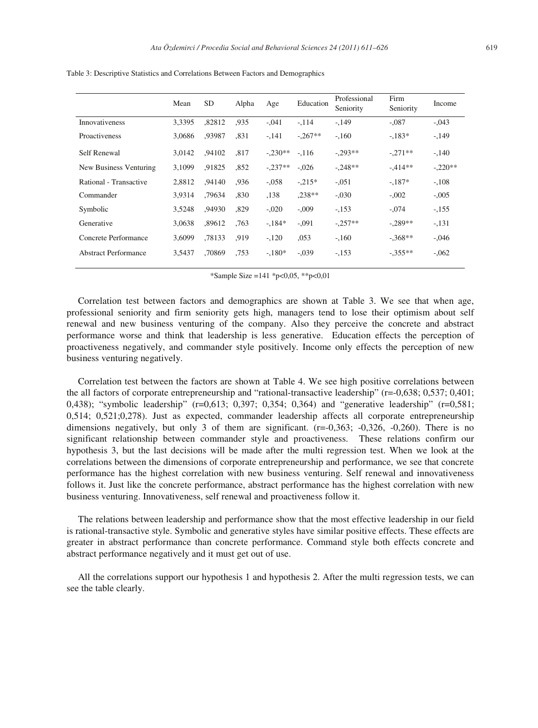|                             | Mean   | <b>SD</b> | Alpha | Age       | Education  | Professional<br>Seniority | Firm<br>Seniority | Income    |
|-----------------------------|--------|-----------|-------|-----------|------------|---------------------------|-------------------|-----------|
| <b>Innovativeness</b>       | 3,3395 | ,82812    | .935  | $-.041$   | $-.114$    | $-149$                    | $-.087$           | $-.043$   |
| Proactiveness               | 3.0686 | .93987    | ,831  | $-141$    | $-0.267**$ | $-.160$                   | $-183*$           | $-149$    |
| Self Renewal                | 3.0142 | .94102    | .817  | $-.230**$ | $-116$     | $-0.293**$                | $-.271**$         | $-140$    |
| New Business Venturing      | 3.1099 | .91825    | ,852  | $-.237**$ | $-.026$    | $-0.248**$                | $-414**$          | $-.220**$ |
| Rational - Transactive      | 2.8812 | ,94140    | .936  | $-.058$   | $-.215*$   | $-.051$                   | $-187*$           | $-.108$   |
| Commander                   | 3,9314 | .79634    | ,830  | ,138      | $0.238**$  | $-.030$                   | $-.002$           | $-.005$   |
| Symbolic                    | 3,5248 | .94930    | .829  | $-.020$   | $-.009$    | $-153$                    | $-.074$           | $-.155$   |
| Generative                  | 3.0638 | .89612    | .763  | $-184*$   | $-.091$    | $-.257**$                 | $-0.289**$        | $-.131$   |
| Concrete Performance        | 3.6099 | .78133    | .919  | $-.120$   | ,053       | $-.160$                   | $-368**$          | $-.046$   |
| <b>Abstract Performance</b> | 3.5437 | .70869    | .753  | $-180*$   | $-.039$    | $-153$                    | $-.355**$         | $-.062$   |

Table 3: Descriptive Statistics and Correlations Between Factors and Demographics

\*Sample Size =141 \*p<0,05, \*\*p<0,01

Correlation test between factors and demographics are shown at Table 3. We see that when age, professional seniority and firm seniority gets high, managers tend to lose their optimism about self renewal and new business venturing of the company. Also they perceive the concrete and abstract performance worse and think that leadership is less generative. Education effects the perception of proactiveness negatively, and commander style positively. Income only effects the perception of new business venturing negatively.

Correlation test between the factors are shown at Table 4. We see high positive correlations between the all factors of corporate entrepreneurship and "rational-transactive leadership" (r=-0,638; 0,537; 0,401; 0,438); "symbolic leadership" (r=0,613; 0,397; 0,354; 0,364) and "generative leadership" (r=0,581; 0,514; 0,521;0,278). Just as expected, commander leadership affects all corporate entrepreneurship dimensions negatively, but only 3 of them are significant. (r=-0,363; -0,326, -0,260). There is no significant relationship between commander style and proactiveness. These relations confirm our hypothesis 3, but the last decisions will be made after the multi regression test. When we look at the correlations between the dimensions of corporate entrepreneurship and performance, we see that concrete performance has the highest correlation with new business venturing. Self renewal and innovativeness follows it. Just like the concrete performance, abstract performance has the highest correlation with new business venturing. Innovativeness, self renewal and proactiveness follow it.

The relations between leadership and performance show that the most effective leadership in our field is rational-transactive style. Symbolic and generative styles have similar positive effects. These effects are greater in abstract performance than concrete performance. Command style both effects concrete and abstract performance negatively and it must get out of use.

All the correlations support our hypothesis 1 and hypothesis 2. After the multi regression tests, we can see the table clearly.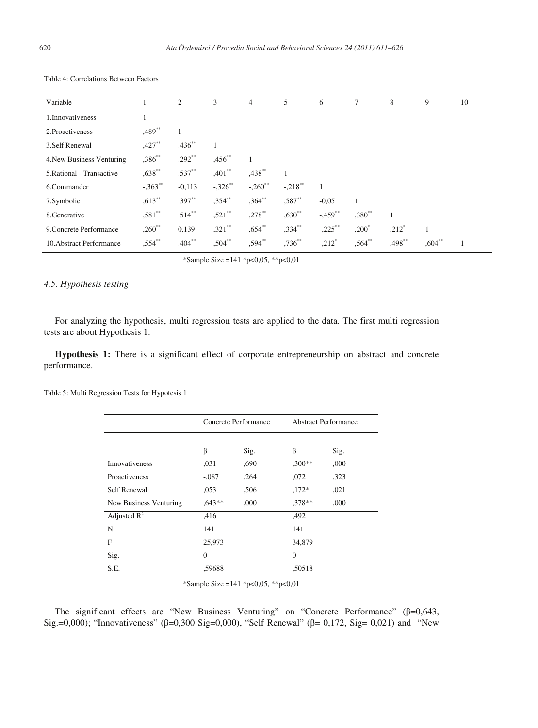| Variable                  |             | 2           | 3           | $\overline{4}$        | 5         | 6          | 7         | 8        | 9    | 10 |
|---------------------------|-------------|-------------|-------------|-----------------------|-----------|------------|-----------|----------|------|----|
| 1. Innovativeness         |             |             |             |                       |           |            |           |          |      |    |
| 2. Proactiveness          | $.489**$    |             |             |                       |           |            |           |          |      |    |
| 3. Self Renewal           | $,427***$   | $.436^{**}$ |             |                       |           |            |           |          |      |    |
| 4. New Business Venturing | $,386^{**}$ | $,292$ **   | $,456^{**}$ |                       |           |            |           |          |      |    |
| 5. Rational - Transactive | $,638***$   | $,537**$    | $,401**$    | $,438$ <sup>**</sup>  |           |            |           |          |      |    |
| 6.Commander               | $-363$      | $-0,113$    | $-326$ **   | $-.260$ <sup>**</sup> | $-.218**$ |            |           |          |      |    |
| 7.Symbolic                | $,613***$   | $.397**$    | $,354***$   | $,364***$             | $.587**$  | $-0.05$    |           |          |      |    |
| 8. Generative             | $,581**$    | $,514$ **   | $,521$ **   | $,278$ **             | $,630**$  | $-.459**$  | $.380**$  |          |      |    |
| 9. Concrete Performance   | $,260**$    | 0,139       | $,321$ **   | $,654***$             | $,334***$ | $-.225***$ | $,200^*$  | ,212"    |      |    |
| 10. Abstract Performance  | $,554***$   | $,404$ **   | $,504**$    | ,594**                | ,736**    | $-.212"$   | $,564$ ** | $,498**$ | ,604 |    |

#### Table 4: Correlations Between Factors

\*Sample Size =141 \*p<0,05, \*\*p<0,01

#### *4.5. Hypothesis testing*

For analyzing the hypothesis, multi regression tests are applied to the data. The first multi regression tests are about Hypothesis 1.

**Hypothesis 1:** There is a significant effect of corporate entrepreneurship on abstract and concrete performance.

Table 5: Multi Regression Tests for Hypotesis 1

|                        | Concrete Performance |      | <b>Abstract Performance</b> |      |  |
|------------------------|----------------------|------|-----------------------------|------|--|
|                        |                      |      |                             |      |  |
|                        | β                    | Sig. | β                           | Sig. |  |
| Innovativeness         | ,031                 | ,690 | $,300**$                    | ,000 |  |
| Proactiveness          | $-.087$              | ,264 | ,072                        | ,323 |  |
| Self Renewal           | 0.053                | ,506 | $,172*$                     | ,021 |  |
| New Business Venturing | $0.643**$            | ,000 | $.378**$                    | ,000 |  |
| Adjusted $R^2$         | ,416                 |      | ,492                        |      |  |
| N                      | 141                  |      | 141                         |      |  |
| F                      | 25,973               |      | 34,879                      |      |  |
| Sig.                   | $\mathbf{0}$         |      | $\mathbf{0}$                |      |  |
| S.E.                   | .59688               |      | ,50518                      |      |  |

\*Sample Size =141 \*p<0,05, \*\*p<0,01

The significant effects are "New Business Venturing" on "Concrete Performance"  $(\beta=0.643,$ Sig.=0,000); "Innovativeness" ( $\beta$ =0,300 Sig=0,000), "Self Renewal" ( $\beta$ = 0,172, Sig= 0,021) and "New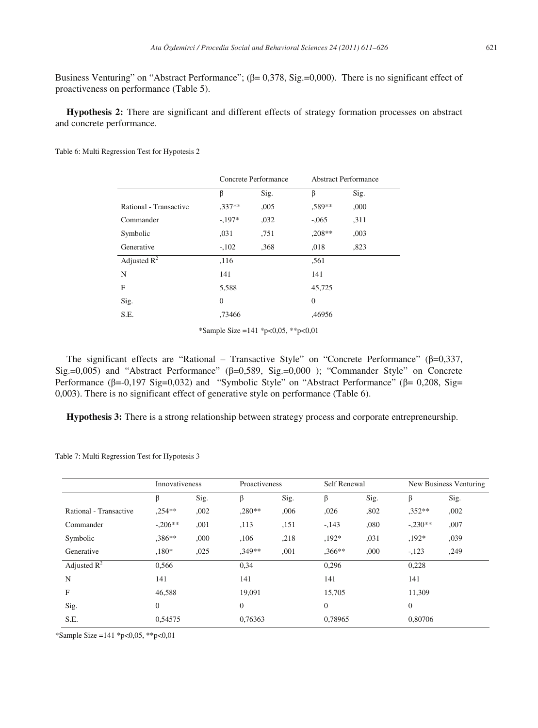Business Venturing" on "Abstract Performance";  $(\beta = 0.378, Sig. = 0.000)$ . There is no significant effect of proactiveness on performance (Table 5).

**Hypothesis 2:** There are significant and different effects of strategy formation processes on abstract and concrete performance.

Table 6: Multi Regression Test for Hypotesis 2

|                         | Concrete Performance |       | <b>Abstract Performance</b> |      |
|-------------------------|----------------------|-------|-----------------------------|------|
|                         | β                    | Sig.  | β                           | Sig. |
| Rational - Transactive  | $,337**$             | 0.005 | .589**                      | ,000 |
| Commander               | $-.197*$             | ,032  | $-.065$                     | .311 |
| Symbolic                | ,031                 | .751  | $0.208**$                   | ,003 |
| Generative              | $-.102$              | .368  | ,018                        | ,823 |
| Adjusted $\mathbb{R}^2$ | ,116                 |       | .561                        |      |
| N                       | 141                  |       | 141                         |      |
| F                       | 5,588                |       | 45,725                      |      |
| Sig.                    | $\Omega$             |       | $\Omega$                    |      |
| S.E.                    | .73466               |       | ,46956                      |      |

\*Sample Size =141 \*p<0,05, \*\*p<0,01

The significant effects are "Rational – Transactive Style" on "Concrete Performance" ( $\beta$ =0,337,  $Sig=0,005)$  and "Abstract Performance" ( $\beta=0,589$ ,  $Sig=0,000$ ); "Commander Style" on Concrete Performance ( $\beta$ =-0,197 Sig=0,032) and "Symbolic Style" on "Abstract Performance" ( $\beta$ = 0,208, Sig= 0,003). There is no significant effect of generative style on performance (Table 6).

**Hypothesis 3:** There is a strong relationship between strategy process and corporate entrepreneurship.

|                         | Innovativeness |      | Proactiveness |      | Self Renewal   |      |           | New Business Venturing |  |
|-------------------------|----------------|------|---------------|------|----------------|------|-----------|------------------------|--|
|                         | β              | Sig. | β             | Sig. | β              | Sig. | β         | Sig.                   |  |
| Rational - Transactive  | $.254**$       | ,002 | $0.280**$     | ,006 | ,026           | ,802 | $,352**$  | ,002                   |  |
| Commander               | $-0.206**$     | ,001 | ,113          | ,151 | $-143$         | ,080 | $-.230**$ | ,007                   |  |
| Symbolic                | $,386**$       | ,000 | ,106          | ,218 | $,192*$        | ,031 | $,192*$   | ,039                   |  |
| Generative              | $0.180*$       | ,025 | $,349**$      | ,001 | $0.366**$      | ,000 | $-123$    | ,249                   |  |
| Adjusted $\mathbb{R}^2$ | 0,566          |      | 0,34          |      | 0,296          |      | 0,228     |                        |  |
| N                       | 141            |      | 141           |      | 141            |      | 141       |                        |  |
| F                       | 46,588         |      | 19,091        |      | 15,705         |      | 11,309    |                        |  |
| Sig.                    | $\mathbf{0}$   |      | $\Omega$      |      | $\overline{0}$ |      | $\Omega$  |                        |  |
| S.E.                    | 0,54575        |      | 0,76363       |      | 0,78965        |      | 0.80706   |                        |  |

Table 7: Multi Regression Test for Hypotesis 3

\*Sample Size =141 \*p<0,05, \*\*p<0,01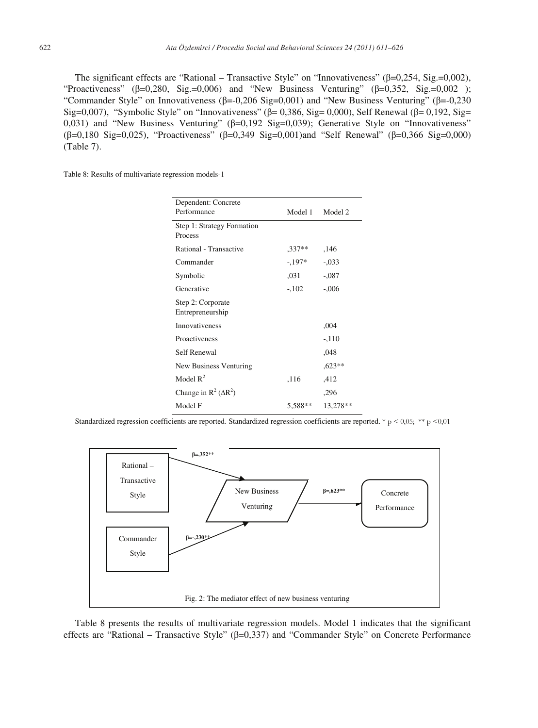The significant effects are "Rational – Transactive Style" on "Innovativeness" ( $\beta$ =0,254, Sig.=0,002), "Proactiveness"  $(\beta=0,280, \text{Sig.}=0,006)$  and "New Business Venturing"  $(\beta=0,352, \text{Sig.}=0,002)$ ; "Commander Style" on Innovativeness ( $\beta$ =-0,206 Sig=0,001) and "New Business Venturing" ( $\beta$ =-0,230 Sig=0,007), "Symbolic Style" on "Innovativeness" ( $\beta$ = 0,386, Sig= 0,000), Self Renewal ( $\beta$ = 0,192, Sig= 0,031) and "New Business Venturing" ( $\beta$ =0,192 Sig=0,039); Generative Style on "Innovativeness"  $(β=0,180$  Sig=0,025), "Proactiveness"  $(β=0,349$  Sig=0,001)and "Self Renewal"  $(β=0,366$  Sig=0,000) (Table 7).

Table 8: Results of multivariate regression models-1

| Dependent: Concrete<br>Performance    | Model 1  | Model 2  |
|---------------------------------------|----------|----------|
| Step 1: Strategy Formation<br>Process |          |          |
| Rational - Transactive                | $,337**$ | .146     |
| Commander                             | $-197*$  | $-.033$  |
| Symbolic                              | ,031     | $-.087$  |
| Generative                            | $-102$   | $-.006$  |
| Step 2: Corporate<br>Entrepreneurship |          |          |
| Innovativeness                        |          | ,004     |
| Proactiveness                         |          | $-.110$  |
| Self Renewal                          |          | ,048     |
| New Business Venturing                |          | $,623**$ |
| Model $R^2$                           | ,116     | .412     |
| Change in $R^2 (\Delta R^2)$          |          | ,296     |
| Model F                               | 5,588**  | 13,278** |
|                                       |          |          |

Standardized regression coefficients are reported. Standardized regression coefficients are reported. \*  $p < 0.05$ ; \*\*  $p < 0.01$ 



Table 8 presents the results of multivariate regression models. Model 1 indicates that the significant effects are "Rational – Transactive Style" ( $\beta$ =0,337) and "Commander Style" on Concrete Performance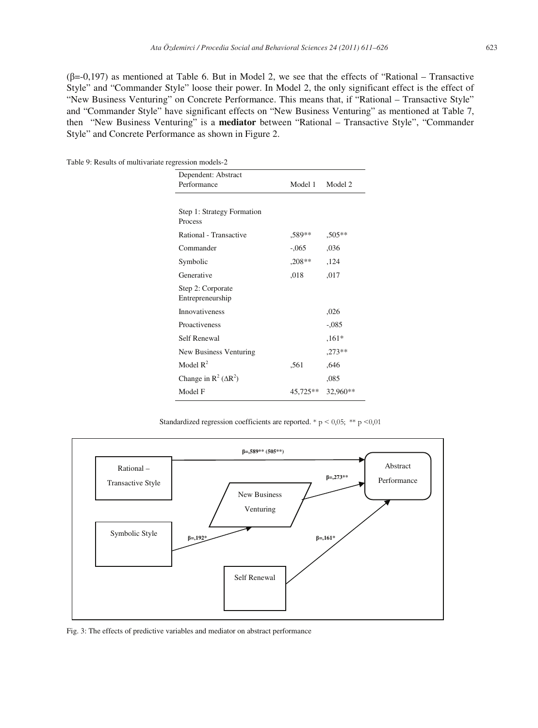$(\beta=-0.197)$  as mentioned at Table 6. But in Model 2, we see that the effects of "Rational – Transactive" Style" and "Commander Style" loose their power. In Model 2, the only significant effect is the effect of "New Business Venturing" on Concrete Performance. This means that, if "Rational – Transactive Style" and "Commander Style" have significant effects on "New Business Venturing" as mentioned at Table 7, then "New Business Venturing" is a **mediator** between "Rational – Transactive Style", "Commander Style" and Concrete Performance as shown in Figure 2.

| Dependent: Abstract<br>Performance    | Model 1  | Model 2  |
|---------------------------------------|----------|----------|
|                                       |          |          |
| Step 1: Strategy Formation<br>Process |          |          |
| Rational - Transactive                | .589**   | $,505**$ |
| Commander                             | $-.065$  | ,036     |
| Symbolic                              | $.208**$ | ,124     |
| Generative                            | .018     | .017     |
| Step 2: Corporate<br>Entrepreneurship |          |          |
| Innovativeness                        |          | .026     |
| Proactiveness                         |          | $-.085$  |
| Self Renewal                          |          | $.161*$  |
| New Business Venturing                |          | $,273**$ |
| Model $\mathbb{R}^2$                  | .561     | .646     |
| Change in $R^2 (\Delta R^2)$          |          | .085     |
| Model F                               | 45.725** | 32.960** |
|                                       |          |          |

Table 9: Results of multivariate regression models-2

Standardized regression coefficients are reported. \*  $p \le 0.05$ ; \*\*  $p \le 0.01$ 



Fig. 3: The effects of predictive variables and mediator on abstract performance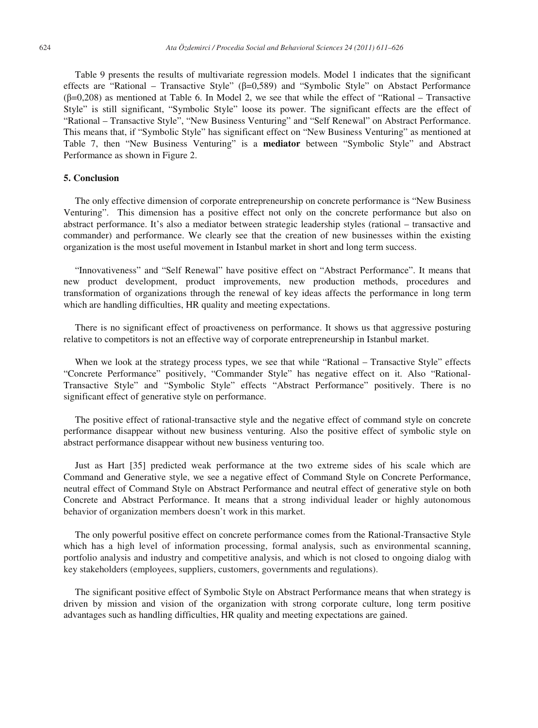Table 9 presents the results of multivariate regression models. Model 1 indicates that the significant effects are "Rational – Transactive Style" ( $\beta$ =0,589) and "Symbolic Style" on Abstact Performance  $(\beta=0,208)$  as mentioned at Table 6. In Model 2, we see that while the effect of "Rational – Transactive" Style" is still significant, "Symbolic Style" loose its power. The significant effects are the effect of "Rational – Transactive Style", "New Business Venturing" and "Self Renewal" on Abstract Performance. This means that, if "Symbolic Style" has significant effect on "New Business Venturing" as mentioned at Table 7, then "New Business Venturing" is a **mediator** between "Symbolic Style" and Abstract Performance as shown in Figure 2.

### **5. Conclusion**

The only effective dimension of corporate entrepreneurship on concrete performance is "New Business Venturing". This dimension has a positive effect not only on the concrete performance but also on abstract performance. It's also a mediator between strategic leadership styles (rational – transactive and commander) and performance. We clearly see that the creation of new businesses within the existing organization is the most useful movement in Istanbul market in short and long term success.

"Innovativeness" and "Self Renewal" have positive effect on "Abstract Performance". It means that new product development, product improvements, new production methods, procedures and transformation of organizations through the renewal of key ideas affects the performance in long term which are handling difficulties, HR quality and meeting expectations.

There is no significant effect of proactiveness on performance. It shows us that aggressive posturing relative to competitors is not an effective way of corporate entrepreneurship in Istanbul market.

When we look at the strategy process types, we see that while "Rational – Transactive Style" effects "Concrete Performance" positively, "Commander Style" has negative effect on it. Also "Rational-Transactive Style" and "Symbolic Style" effects "Abstract Performance" positively. There is no significant effect of generative style on performance.

The positive effect of rational-transactive style and the negative effect of command style on concrete performance disappear without new business venturing. Also the positive effect of symbolic style on abstract performance disappear without new business venturing too.

Just as Hart [35] predicted weak performance at the two extreme sides of his scale which are Command and Generative style, we see a negative effect of Command Style on Concrete Performance, neutral effect of Command Style on Abstract Performance and neutral effect of generative style on both Concrete and Abstract Performance. It means that a strong individual leader or highly autonomous behavior of organization members doesn't work in this market.

The only powerful positive effect on concrete performance comes from the Rational-Transactive Style which has a high level of information processing, formal analysis, such as environmental scanning, portfolio analysis and industry and competitive analysis, and which is not closed to ongoing dialog with key stakeholders (employees, suppliers, customers, governments and regulations).

The significant positive effect of Symbolic Style on Abstract Performance means that when strategy is driven by mission and vision of the organization with strong corporate culture, long term positive advantages such as handling difficulties, HR quality and meeting expectations are gained.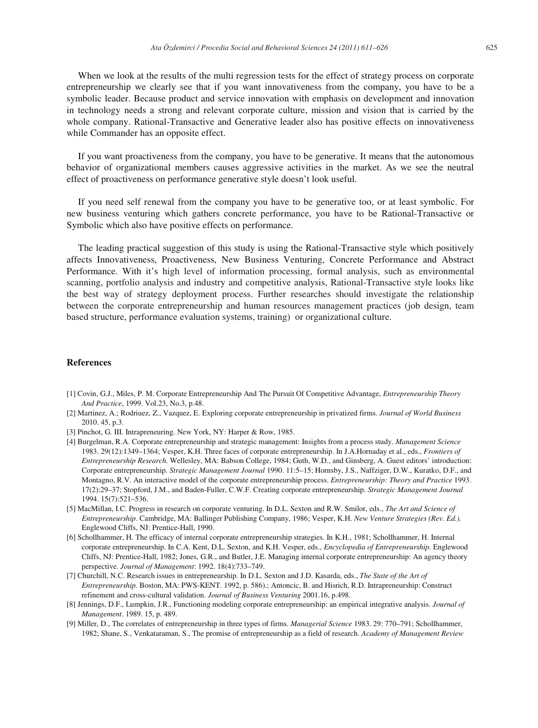When we look at the results of the multi regression tests for the effect of strategy process on corporate entrepreneurship we clearly see that if you want innovativeness from the company, you have to be a symbolic leader. Because product and service innovation with emphasis on development and innovation in technology needs a strong and relevant corporate culture, mission and vision that is carried by the whole company. Rational-Transactive and Generative leader also has positive effects on innovativeness while Commander has an opposite effect.

If you want proactiveness from the company, you have to be generative. It means that the autonomous behavior of organizational members causes aggressive activities in the market. As we see the neutral effect of proactiveness on performance generative style doesn't look useful.

If you need self renewal from the company you have to be generative too, or at least symbolic. For new business venturing which gathers concrete performance, you have to be Rational-Transactive or Symbolic which also have positive effects on performance.

The leading practical suggestion of this study is using the Rational-Transactive style which positively affects Innovativeness, Proactiveness, New Business Venturing, Concrete Performance and Abstract Performance. With it's high level of information processing, formal analysis, such as environmental scanning, portfolio analysis and industry and competitive analysis, Rational-Transactive style looks like the best way of strategy deployment process. Further researches should investigate the relationship between the corporate entrepreneurship and human resources management practices (job design, team based structure, performance evaluation systems, training) or organizational culture.

#### **References**

- [1] Covin, G.J., Miles, P. M. Corporate Entrepreneurship And The Pursuit Of Competitive Advantage, *Entrepreneurship Theory And Practice*, 1999. Vol.23, No.3, p.48.
- [2] Martinez, A.; Rodriuez, Z., Vazquez, E. Exploring corporate entrepreneurship in privatized firms. *Journal of World Business* 2010. 45, p.3.
- [3] Pinchot, G. III. Intrapreneuring. New York, NY: Harper & Row, 1985.
- [4] Burgelman, R.A. Corporate entrepreneurship and strategic management: Insights from a process study. *Management Science* 1983. 29(12):1349–1364; Vesper, K.H. Three faces of corporate entrepreneurship. In J.A.Hornaday et al., eds., *Frontiers of Entrepreneurship Research.* Wellesley, MA: Babson College, 1984; Guth, W.D., and Ginsberg, A. Guest editors' introduction: Corporate entrepreneurship. *Strategic Management Journal* 1990. 11:5–15; Hornsby, J.S., Naffziger, D.W., Kuratko, D.F., and Montagno, R.V. An interactive model of the corporate entrepreneurship process. *Entrepreneurship: Theory and Practice* 1993. 17(2):29–37; Stopford, J.M., and Baden-Fuller, C.W.F. Creating corporate entrepreneurship. *Strategic Management Journal*  1994. 15(7):521–536.
- [5] MacMillan, I.C. Progress in research on corporate venturing. In D.L. Sexton and R.W. Smilor, eds., *The Art and Science of Entrepreneurship.* Cambridge, MA: Ballinger Publishing Company, 1986; Vesper, K.H. *New Venture Strategies (Rev. Ed.).*  Englewood Cliffs, NJ: Prentice-Hall, 1990.
- [6] Schollhammer, H. The efficacy of internal corporate entrepreneurship strategies. In K.H., 1981; Schollhammer, H. Internal corporate entrepreneurship. In C.A. Kent, D.L. Sexton, and K.H. Vesper, eds., *Encyclopedia of Entrepreneurship.* Englewood Cliffs, NJ: Prentice-Hall, 1982; Jones, G.R., and Butler, J.E. Managing internal corporate entrepreneurship: An agency theory perspective. *Journal of Management*: 1992. 18(4):733–749.
- [7] Churchill, N.C. Research issues in entrepreneurship. In D.L. Sexton and J.D. Kasarda, eds., *The State of the Art of Entrepreneurship.* Boston, MA: PWS-KENT. 1992, p. 586).; Antoncic, B. and Hisrich, R.D. Intrapreneurship: Construct refinement and cross-cultural validation. *Journal of Business Venturing* 2001.16, p.498.
- [8] Jennings, D.F., Lumpkin, J.R., Functioning modeling corporate entrepreneurship: an empirical integrative analysis. *Journal of Management*. 1989. 15, p. 489.
- [9] Miller, D., The correlates of entrepreneurship in three types of firms. *Managerial Science* 1983. 29: 770–791; Schollhammer, 1982; Shane, S., Venkataraman, S., The promise of entrepreneurship as a field of research. *Academy of Management Review*